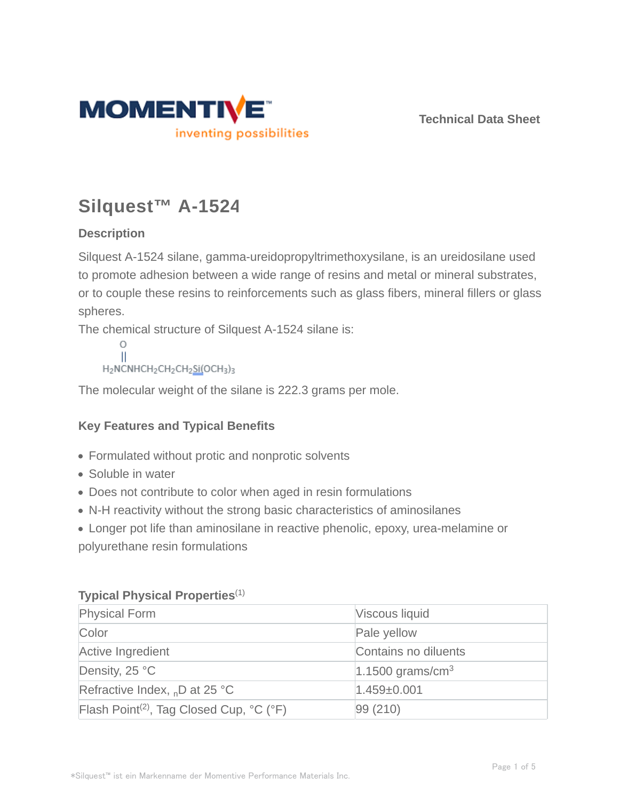

**Technical Data Sheet**

# **Silquest™ A-1524**

# **Description**

Silquest A-1524 silane, gamma-ureidopropyltrimethoxysilane, is an ureidosilane used to promote adhesion between a wide range of resins and metal or mineral substrates, or to couple these resins to reinforcements such as glass fibers, mineral fillers or glass spheres.

The chemical structure of Silquest A-1524 silane is:

```
\circ\mathbf{H}H<sub>2</sub>NCNHCH<sub>2</sub>CH<sub>2</sub>CH<sub>2</sub>Si(OCH<sub>3</sub>)<sub>3</sub>
```
The molecular weight of the silane is 222.3 grams per mole.

# **Key Features and Typical Benefits**

- Formulated without protic and nonprotic solvents
- Soluble in water
- Does not contribute to color when aged in resin formulations
- N-H reactivity without the strong basic characteristics of aminosilanes

Longer pot life than aminosilane in reactive phenolic, epoxy, urea-melamine or polyurethane resin formulations

# **Typical Physical Properties**(1)

| <b>Physical Form</b>                                 | Viscous liquid               |
|------------------------------------------------------|------------------------------|
| Color                                                | Pale yellow                  |
| Active Ingredient                                    | Contains no diluents         |
| Density, 25 °C                                       | 1.1500 grams/cm <sup>3</sup> |
| Refractive Index, <sub>n</sub> D at 25 °C            | $1.459 \pm 0.001$            |
| Flash Point <sup>(2)</sup> , Tag Closed Cup, °C (°F) | 99 (210)                     |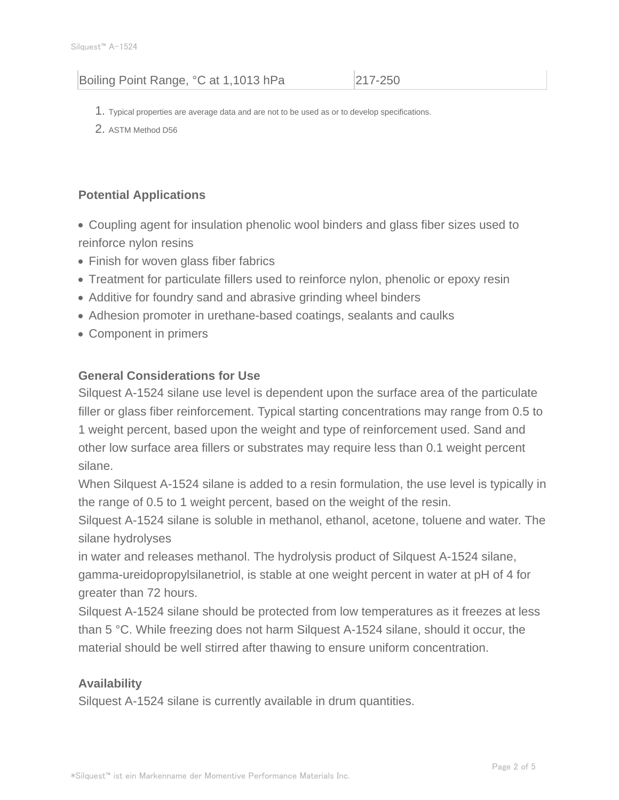# Boiling Point Range, °C at 1,1013 hPa 217-250

- 1. Typical properties are average data and are not to be used as or to develop specifications.
- 2. ASTM Method D56

# **Potential Applications**

- Coupling agent for insulation phenolic wool binders and glass fiber sizes used to reinforce nylon resins
- Finish for woven glass fiber fabrics
- Treatment for particulate fillers used to reinforce nylon, phenolic or epoxy resin
- Additive for foundry sand and abrasive grinding wheel binders
- Adhesion promoter in urethane-based coatings, sealants and caulks
- Component in primers

## **General Considerations for Use**

Silquest A-1524 silane use level is dependent upon the surface area of the particulate filler or glass fiber reinforcement. Typical starting concentrations may range from 0.5 to 1 weight percent, based upon the weight and type of reinforcement used. Sand and other low surface area fillers or substrates may require less than 0.1 weight percent silane.

When Silquest A-1524 silane is added to a resin formulation, the use level is typically in the range of 0.5 to 1 weight percent, based on the weight of the resin.

Silquest A-1524 silane is soluble in methanol, ethanol, acetone, toluene and water. The silane hydrolyses

in water and releases methanol. The hydrolysis product of Silquest A-1524 silane, gamma-ureidopropylsilanetriol, is stable at one weight percent in water at pH of 4 for greater than 72 hours.

Silquest A-1524 silane should be protected from low temperatures as it freezes at less than 5 °C. While freezing does not harm Silquest A-1524 silane, should it occur, the material should be well stirred after thawing to ensure uniform concentration.

## **Availability**

Silquest A-1524 silane is currently available in drum quantities.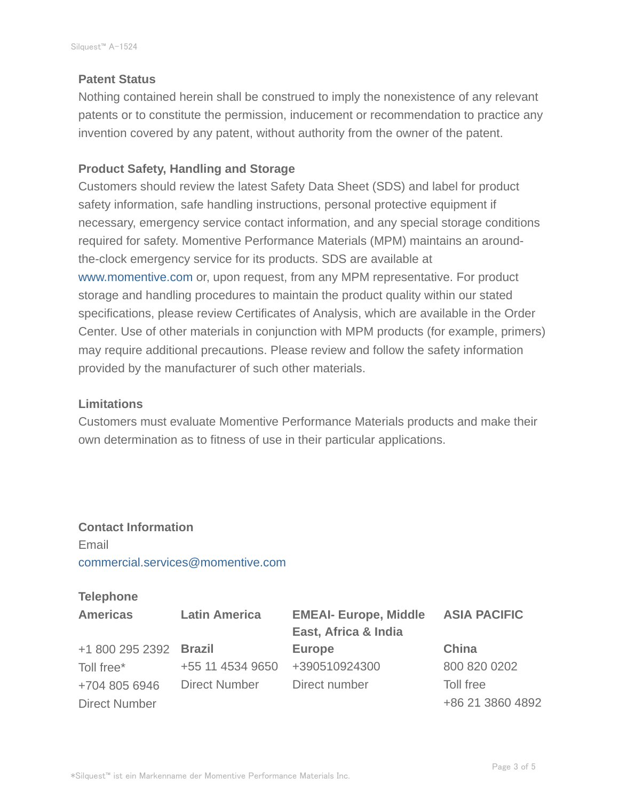#### **Patent Status**

Nothing contained herein shall be construed to imply the nonexistence of any relevant patents or to constitute the permission, inducement or recommendation to practice any invention covered by any patent, without authority from the owner of the patent.

## **Product Safety, Handling and Storage**

Customers should review the latest Safety Data Sheet (SDS) and label for product safety information, safe handling instructions, personal protective equipment if necessary, emergency service contact information, and any special storage conditions required for safety. Momentive Performance Materials (MPM) maintains an aroundthe-clock emergency service for its products. SDS are available at www.momentive.com or, upon request, from any MPM representative. For product storage and handling procedures to maintain the product quality within our stated specifications, please review Certificates of Analysis, which are available in the Order Center. Use of other materials in conjunction with MPM products (for example, primers) may require additional precautions. Please review and follow the safety information provided by the manufacturer of such other materials.

#### **Limitations**

Customers must evaluate Momentive Performance Materials products and make their own determination as to fitness of use in their particular applications.

# **Contact Information** Email commercial.services@momentive.com

## **Telephone**

| <b>Americas</b>        | <b>Latin America</b> | <b>EMEAI- Europe, Middle</b><br>East, Africa & India | <b>ASIA PACIFIC</b> |
|------------------------|----------------------|------------------------------------------------------|---------------------|
| +1 800 295 2392 Brazil |                      | <b>Europe</b>                                        | China               |
| Toll free*             | +55 11 4534 9650     | +390510924300                                        | 800 820 0202        |
| +704 805 6946          | Direct Number        | Direct number                                        | Toll free           |
| <b>Direct Number</b>   |                      |                                                      | +86 21 3860 4892    |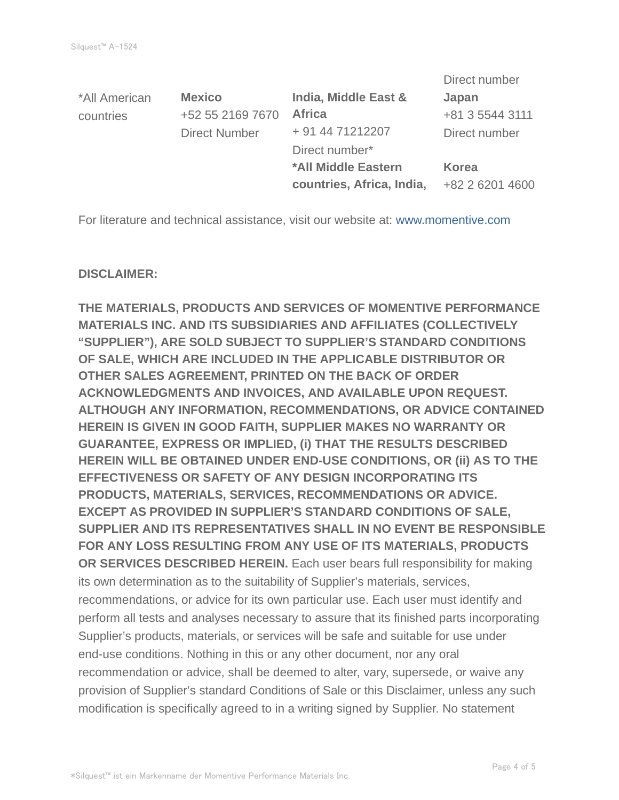|                      |                           | Direct number   |
|----------------------|---------------------------|-----------------|
| <b>Mexico</b>        | India, Middle East &      | Japan           |
| +52 55 2169 7670     | <b>Africa</b>             | +81 3 5544 3111 |
| <b>Direct Number</b> | + 91 44 71212207          | Direct number   |
|                      | Direct number*            |                 |
|                      | *All Middle Eastern       | Korea           |
|                      | countries, Africa, India, | +82 2 6201 4600 |
|                      |                           |                 |

For literature and technical assistance, visit our website at: www.momentive.com

#### **DISCLAIMER:**

**THE MATERIALS, PRODUCTS AND SERVICES OF MOMENTIVE PERFORMANCE MATERIALS INC. AND ITS SUBSIDIARIES AND AFFILIATES (COLLECTIVELY "SUPPLIER"), ARE SOLD SUBJECT TO SUPPLIER'S STANDARD CONDITIONS OF SALE, WHICH ARE INCLUDED IN THE APPLICABLE DISTRIBUTOR OR OTHER SALES AGREEMENT, PRINTED ON THE BACK OF ORDER ACKNOWLEDGMENTS AND INVOICES, AND AVAILABLE UPON REQUEST. ALTHOUGH ANY INFORMATION, RECOMMENDATIONS, OR ADVICE CONTAINED HEREIN IS GIVEN IN GOOD FAITH, SUPPLIER MAKES NO WARRANTY OR GUARANTEE, EXPRESS OR IMPLIED, (i) THAT THE RESULTS DESCRIBED HEREIN WILL BE OBTAINED UNDER END-USE CONDITIONS, OR (ii) AS TO THE EFFECTIVENESS OR SAFETY OF ANY DESIGN INCORPORATING ITS PRODUCTS, MATERIALS, SERVICES, RECOMMENDATIONS OR ADVICE. EXCEPT AS PROVIDED IN SUPPLIER'S STANDARD CONDITIONS OF SALE, SUPPLIER AND ITS REPRESENTATIVES SHALL IN NO EVENT BE RESPONSIBLE FOR ANY LOSS RESULTING FROM ANY USE OF ITS MATERIALS, PRODUCTS OR SERVICES DESCRIBED HEREIN.** Each user bears full responsibility for making its own determination as to the suitability of Supplier's materials, services, recommendations, or advice for its own particular use. Each user must identify and perform all tests and analyses necessary to assure that its finished parts incorporating Supplier's products, materials, or services will be safe and suitable for use under end-use conditions. Nothing in this or any other document, nor any oral recommendation or advice, shall be deemed to alter, vary, supersede, or waive any provision of Supplier's standard Conditions of Sale or this Disclaimer, unless any such modification is specifically agreed to in a writing signed by Supplier. No statement